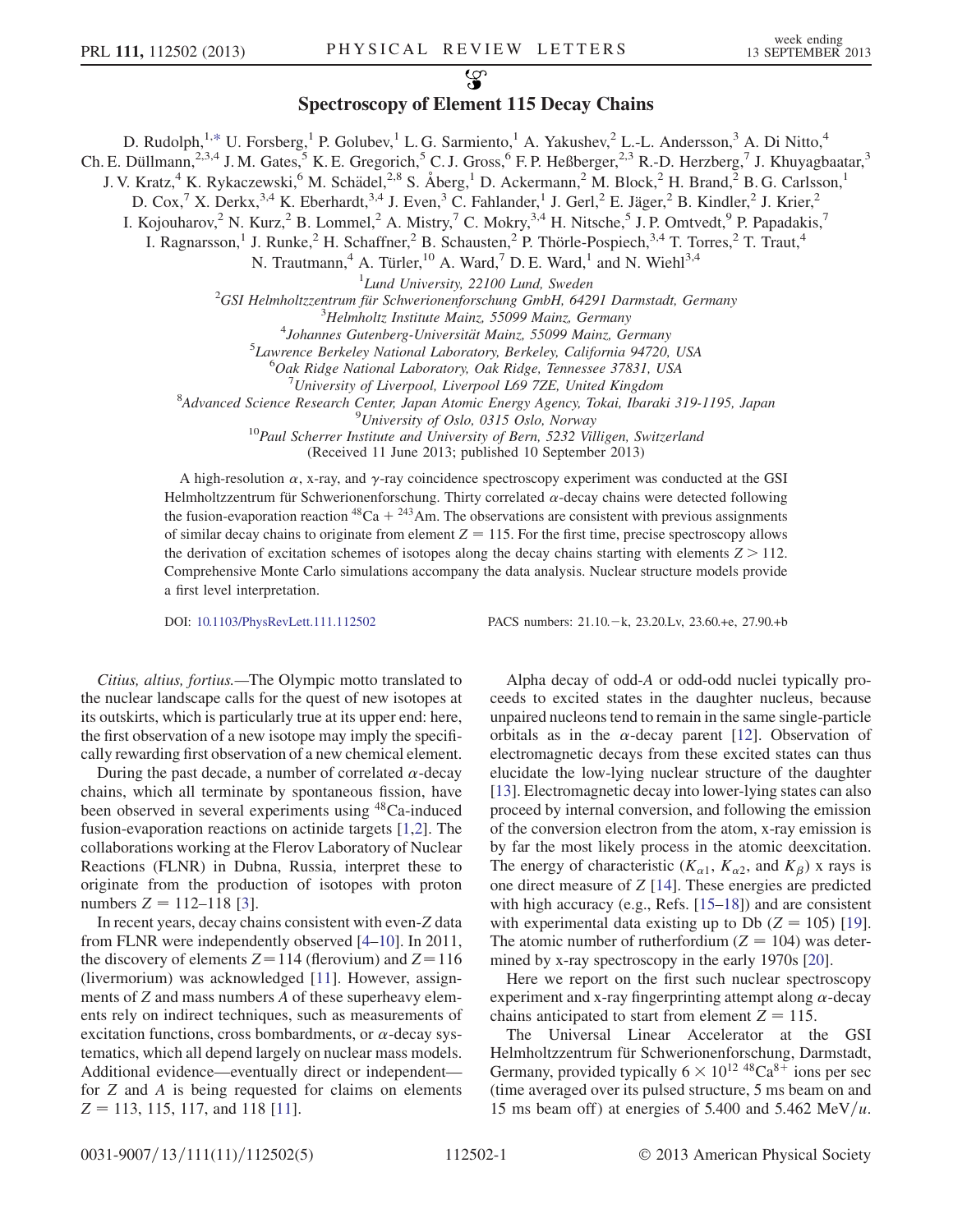## လ္စာ

## Spectroscopy of Element 115 Decay Chains

<span id="page-0-0"></span>D. Rudolph, <sup>1,[\\*](#page-4-0)</sup> U. Forsberg,<sup>1</sup> P. Golubev,<sup>1</sup> L. G. Sarmiento,<sup>1</sup> A. Yakushev,<sup>2</sup> L.-L. Andersson,<sup>3</sup> A. Di Nitto,<sup>4</sup>

Ch. E. Düllmann,<sup>2,3,4</sup> J. M. Gates,<sup>5</sup> K. E. Gregorich,<sup>5</sup> C. J. Gross,<sup>6</sup> F. P. Heßberger,<sup>2,3</sup> R.-D. Herzberg,<sup>7</sup> J. Khuyagbaatar,<sup>3</sup>

J. V. Kratz,<sup>4</sup> K. Rykaczewski,<sup>6</sup> M. Schädel,<sup>2,8</sup> S. Åberg,<sup>1</sup> D. Ackermann,<sup>2</sup> M. Block,<sup>2</sup> H. Brand,<sup>2</sup> B. G. Carlsson,<sup>1</sup>

D. Cox,<sup>7</sup> X. Derkx,<sup>3,4</sup> K. Eberhardt,<sup>3,4</sup> J. Even,<sup>3</sup> C. Fahlander,<sup>1</sup> J. Gerl,<sup>2</sup> E. Jäger,<sup>2</sup> B. Kindler,<sup>2</sup> J. Krier,<sup>2</sup>

I. Kojouharov,<sup>2</sup> N. Kurz,<sup>2</sup> B. Lommel,<sup>2</sup> A. Mistry,<sup>7</sup> C. Mokry,<sup>3,4</sup> H. Nitsche,<sup>5</sup> J. P. Omtvedt,<sup>9</sup> P. Papadakis,<sup>7</sup>

I. Ragnarsson,<sup>1</sup> J. Runke,<sup>2</sup> H. Schaffner,<sup>2</sup> B. Schausten,<sup>2</sup> P. Thörle-Pospiech,<sup>3,4</sup> T. Torres,<sup>2</sup> T. Traut,<sup>4</sup>

N. Trautmann,<sup>4</sup> A. Türler,<sup>10</sup> A. Ward,<sup>7</sup> D. E. Ward,<sup>1</sup> and N. Wiehl<sup>3,4</sup>

<sup>1</sup>Lund University, 22100 Lund, Sweden  $^{1}$ Lund University, 22100 Lund, Sweden  $^{2}$ CSI Helmholtzzantrum für Schwerionanforschung CmbH 642

GSI Helmholtzzentrum für Schwerionenforschung GmbH, 64291 Darmstadt, Germany<br><sup>3</sup>Helmholtz Institute Mainz, 55000 Mainz, Germany

 $3$ Helmholtz Institute Mainz, 55099 Mainz, Germany

 $4$ Johannes Gutenberg-Universität Mainz, 55099 Mainz, Germany

<sup>5</sup>Lawrence Berkeley National Laboratory, Berkeley, California 94720, USA

<sup>6</sup>Oak Ridge National Laboratory, Oak Ridge, Tennessee 37831, USA

University of Liverpool, Liverpool L69 7ZE, United Kingdom

 ${}^8$ Advanced Science Research Center, Japan Atomic Energy Agency, Tokai, Ibaraki 319-1195, Japan  ${}^9$ University of Oslo, 0315 Oslo, Norway

 $10$ Paul Scherrer Institute and University of Bern, 5232 Villigen, Switzerland

(Received 11 June 2013; published 10 September 2013)

A high-resolution  $\alpha$ , x-ray, and  $\gamma$ -ray coincidence spectroscopy experiment was conducted at the GSI Helmholtzzentrum für Schwerionenforschung. Thirty correlated  $\alpha$ -decay chains were detected following the fusion-evaporation reaction  $^{48}Ca + ^{243}Am$ . The observations are consistent with previous assignments of similar decay chains to originate from element  $Z = 115$ . For the first time, precise spectroscopy allows the derivation of excitation schemes of isotopes along the decay chains starting with elements  $Z > 112$ . Comprehensive Monte Carlo simulations accompany the data analysis. Nuclear structure models provide a first level interpretation.

DOI: [10.1103/PhysRevLett.111.112502](http://dx.doi.org/10.1103/PhysRevLett.111.112502) PACS numbers: 21.10.k, 23.20.Lv, 23.60.+e, 27.90.+b

Citius, altius, fortius.—The Olympic motto translated to the nuclear landscape calls for the quest of new isotopes at its outskirts, which is particularly true at its upper end: here, the first observation of a new isotope may imply the specifically rewarding first observation of a new chemical element.

During the past decade, a number of correlated  $\alpha$ -decay chains, which all terminate by spontaneous fission, have been observed in several experiments using 48Ca-induced fusion-evaporation reactions on actinide targets [[1](#page-4-1)[,2\]](#page-4-2). The collaborations working at the Flerov Laboratory of Nuclear Reactions (FLNR) in Dubna, Russia, interpret these to originate from the production of isotopes with proton numbers  $Z = 112 - 118$  [\[3](#page-4-3)].

In recent years, decay chains consistent with even-Z data from FLNR were independently observed [[4](#page-4-4)[–10\]](#page-4-5). In 2011, the discovery of elements  $Z = 114$  (flerovium) and  $Z = 116$ (livermorium) was acknowledged [[11](#page-4-6)]. However, assignments of Z and mass numbers A of these superheavy elements rely on indirect techniques, such as measurements of excitation functions, cross bombardments, or  $\alpha$ -decay systematics, which all depend largely on nuclear mass models. Additional evidence—eventually direct or independent for Z and A is being requested for claims on elements  $Z = 113, 115, 117,$  and 118 [\[11\]](#page-4-6).

Alpha decay of odd-A or odd-odd nuclei typically proceeds to excited states in the daughter nucleus, because unpaired nucleons tend to remain in the same single-particle orbitals as in the  $\alpha$ -decay parent [\[12\]](#page-4-7). Observation of electromagnetic decays from these excited states can thus elucidate the low-lying nuclear structure of the daughter [\[13\]](#page-4-8). Electromagnetic decay into lower-lying states can also proceed by internal conversion, and following the emission of the conversion electron from the atom, x-ray emission is by far the most likely process in the atomic deexcitation. The energy of characteristic  $(K_{\alpha 1}, K_{\alpha 2},$  and  $K_{\beta})$  x rays is one direct measure of Z [\[14\]](#page-4-9). These energies are predicted with high accuracy (e.g., Refs. [\[15–](#page-4-10)[18](#page-4-11)]) and are consistent with experimental data existing up to Db  $(Z = 105)$  [[19](#page-4-12)]. The atomic number of rutherfordium ( $Z = 104$ ) was determined by x-ray spectroscopy in the early 1970s [\[20\]](#page-4-13).

Here we report on the first such nuclear spectroscopy experiment and x-ray fingerprinting attempt along  $\alpha$ -decay chains anticipated to start from element  $Z = 115$ .

The Universal Linear Accelerator at the GSI Helmholtzzentrum für Schwerionenforschung, Darmstadt, Germany, provided typically  $6 \times 10^{12}$  <sup>48</sup>Ca<sup>8+</sup> ions per sec<br>(time averaged over its pulsed structure, 5 ms beam on and (time averaged over its pulsed structure, 5 ms beam on and 15 ms beam off) at energies of 5.400 and 5.462 MeV/u.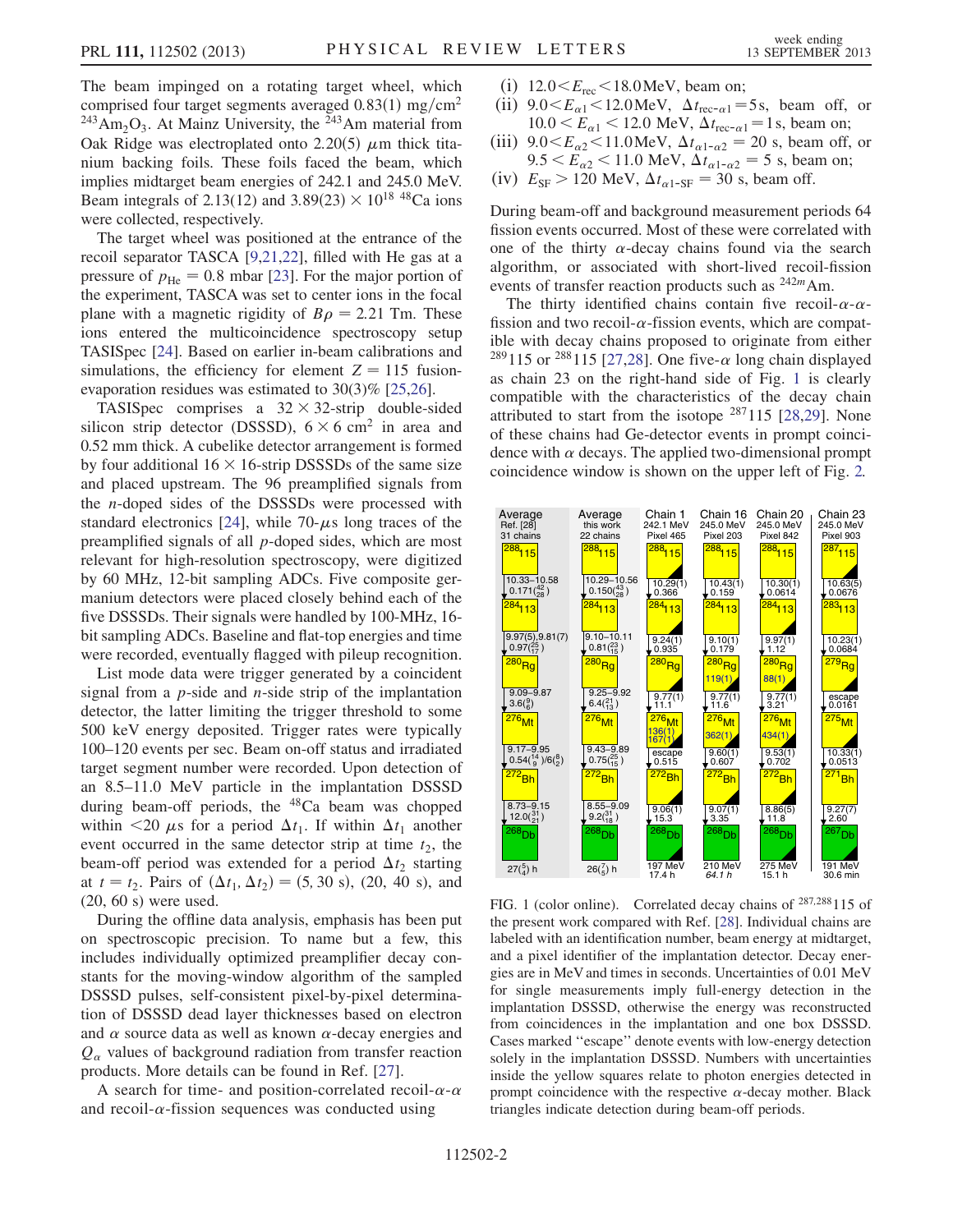The beam impinged on a rotating target wheel, which comprised four target segments averaged  $0.83(1)$  mg/cm<sup>2</sup>  $243$ Am<sub>2</sub>O<sub>3</sub>. At Mainz University, the <sup>243</sup>Am material from Oak Ridge was electroplated onto 2.20(5)  $\mu$ m thick titanium backing foils. These foils faced the beam, which implies midtarget beam energies of 242.1 and 245.0 MeV. Beam integrals of 2.13(12) and 3.89(23)  $\times$  10<sup>18</sup> <sup>48</sup>Ca ions were collected respectively were collected, respectively.

The target wheel was positioned at the entrance of the recoil separator TASCA [[9,](#page-4-14)[21](#page-4-15)[,22\]](#page-4-16), filled with He gas at a pressure of  $p_{\text{He}} = 0.8$  mbar [[23\]](#page-4-17). For the major portion of the experiment, TASCA was set to center ions in the focal plane with a magnetic rigidity of  $B\rho = 2.21$  Tm. These ions entered the multicoincidence spectroscopy setup TASISpec [\[24](#page-4-18)]. Based on earlier in-beam calibrations and simulations, the efficiency for element  $Z = 115$  fusionevaporation residues was estimated to 30(3)% [\[25](#page-4-19),[26](#page-4-20)].

TASISpec comprises a  $32 \times 32$ -strip double-sided<br>icon strip detector (DSSSD)  $6 \times 6$  cm<sup>2</sup> in area and silicon strip detector (DSSSD),  $6 \times 6$  cm<sup>2</sup> in area and<br>0.52 mm thick A cubelike detector arrangement is formed 0.52 mm thick. A cubelike detector arrangement is formed by four additional  $16 \times 16$ -strip DSSSDs of the same size<br>and placed unstream. The 96 preamplified signals from and placed upstream. The 96 preamplified signals from the n-doped sides of the DSSSDs were processed with standard electronics [[24](#page-4-18)], while 70- $\mu$ s long traces of the preamplified signals of all p-doped sides, which are most relevant for high-resolution spectroscopy, were digitized by 60 MHz, 12-bit sampling ADCs. Five composite germanium detectors were placed closely behind each of the five DSSSDs. Their signals were handled by 100-MHz, 16 bit sampling ADCs. Baseline and flat-top energies and time were recorded, eventually flagged with pileup recognition.

List mode data were trigger generated by a coincident signal from a  $p$ -side and  $n$ -side strip of the implantation detector, the latter limiting the trigger threshold to some 500 keV energy deposited. Trigger rates were typically 100–120 events per sec. Beam on-off status and irradiated target segment number were recorded. Upon detection of an 8.5–11.0 MeV particle in the implantation DSSSD during beam-off periods, the <sup>48</sup>Ca beam was chopped within <20  $\mu$ s for a period  $\Delta t_1$ . If within  $\Delta t_1$  another event occurred in the same detector strip at time  $t_2$ , the beam-off period was extended for a period  $\Delta t_2$  starting at  $t = t_2$ . Pairs of  $(\Delta t_1, \Delta t_2) = (5, 30 \text{ s})$ , (20, 40 s), and (20, 60 s) were used.

During the offline data analysis, emphasis has been put on spectroscopic precision. To name but a few, this includes individually optimized preamplifier decay constants for the moving-window algorithm of the sampled DSSSD pulses, self-consistent pixel-by-pixel determination of DSSSD dead layer thicknesses based on electron and  $\alpha$  source data as well as known  $\alpha$ -decay energies and  $Q_{\alpha}$  values of background radiation from transfer reaction products. More details can be found in Ref. [\[27\]](#page-4-21).

A search for time- and position-correlated recoil- $\alpha$ - $\alpha$ and recoil- $\alpha$ -fission sequences was conducted using

- (i)  $12.0 \le E_{\text{rec}} \le 18.0 \,\text{MeV}$ , beam on;
- (ii)  $9.0 \le E_{\alpha 1} \le 12.0 \text{ MeV}$ ,  $\Delta t_{\text{rec-}\alpha 1} = 5 \text{ s}$ , beam off, or  $10.0 < E_{\alpha 1} < 12.0 \text{ MeV}, \Delta t_{\text{rec}-\alpha 1} = 1 \text{ s}, \text{ beam on};$
- (iii)  $9.0 \le E_{\alpha 2} \le 11.0 \text{ MeV}, \ \Delta t_{\alpha 1 \alpha 2} = 20 \text{ s}, \text{ beam off}, \text{ or}$  $9.5 < E_{\alpha 2} < 11.0$  MeV,  $\Delta t_{\alpha 1-\alpha 2} = 5$  s, beam on;
- (iv)  $E_{SF} > 120 \text{ MeV}, \Delta t_{a1-SF} = 30 \text{ s}, \text{beam off}.$

During beam-off and background measurement periods 64 fission events occurred. Most of these were correlated with one of the thirty  $\alpha$ -decay chains found via the search algorithm, or associated with short-lived recoil-fission events of transfer reaction products such as  $242m$ Am.

The thirty identified chains contain five recoil- $\alpha$ - $\alpha$ fission and two recoil- $\alpha$ -fission events, which are compatible with decay chains proposed to originate from either <sup>289</sup>115 or <sup>288</sup>115 [\[27,](#page-4-21)[28\]](#page-4-22). One five- $\alpha$  long chain displayed as chain 23 on the right-hand side of Fig. [1](#page-1-0) is clearly compatible with the characteristics of the decay chain attributed to start from the isotope  $287115$  $287115$  [28,[29](#page-4-23)]. None of these chains had Ge-detector events in prompt coincidence with  $\alpha$  decays. The applied two-dimensional prompt coincidence window is shown on the upper left of Fig. [2.](#page-2-0)

<span id="page-1-0"></span>

FIG. 1 (color online). Correlated decay chains of <sup>287,288</sup>115 of the present work compared with Ref. [[28](#page-4-22)]. Individual chains are labeled with an identification number, beam energy at midtarget, and a pixel identifier of the implantation detector. Decay energies are in MeV and times in seconds. Uncertainties of 0.01 MeV for single measurements imply full-energy detection in the implantation DSSSD, otherwise the energy was reconstructed from coincidences in the implantation and one box DSSSD. Cases marked ''escape'' denote events with low-energy detection solely in the implantation DSSSD. Numbers with uncertainties inside the yellow squares relate to photon energies detected in prompt coincidence with the respective  $\alpha$ -decay mother. Black triangles indicate detection during beam-off periods.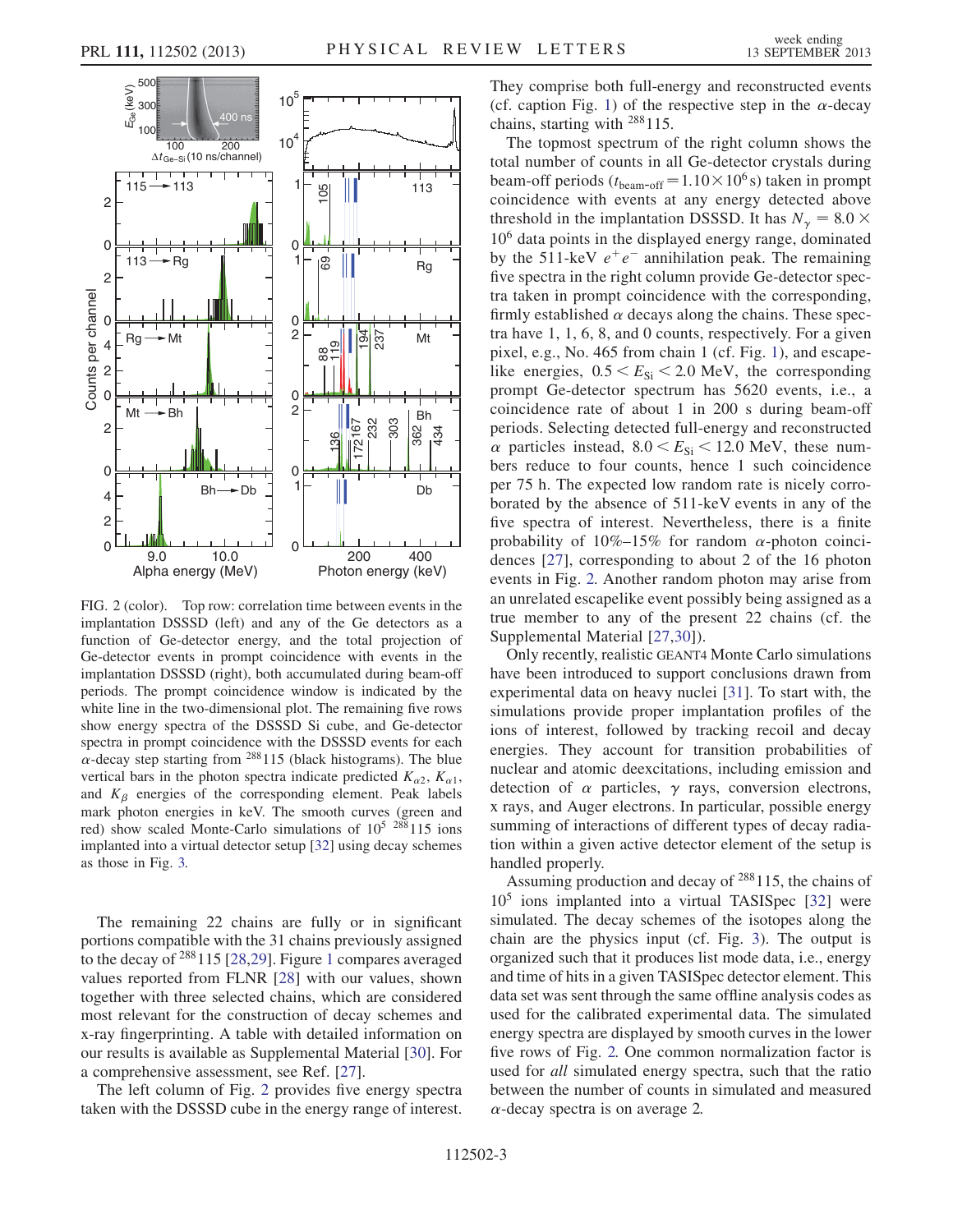<span id="page-2-0"></span>

FIG. 2 (color). Top row: correlation time between events in the implantation DSSSD (left) and any of the Ge detectors as a function of Ge-detector energy, and the total projection of Ge-detector events in prompt coincidence with events in the implantation DSSSD (right), both accumulated during beam-off periods. The prompt coincidence window is indicated by the white line in the two-dimensional plot. The remaining five rows show energy spectra of the DSSSD Si cube, and Ge-detector spectra in prompt coincidence with the DSSSD events for each  $\alpha$ -decay step starting from <sup>288</sup>115 (black histograms). The blue vertical bars in the photon spectra indicate predicted  $K_{\alpha 2}$ ,  $K_{\alpha 1}$ , and  $K_\beta$  energies of the corresponding element. Peak labels mark photon energies in keV. The smooth curves (green and red) show scaled Monte-Carlo simulations of  $10^5$   $288115$  ions implanted into a virtual detector setup [\[32\]](#page-4-26) using decay schemes as those in Fig. [3.](#page-3-0)

The remaining 22 chains are fully or in significant portions compatible with the 31 chains previously assigned to the decay of  $288115$  $288115$  $288115$  [\[28,](#page-4-22)[29\]](#page-4-23). Figure 1 compares averaged values reported from FLNR [\[28\]](#page-4-22) with our values, shown together with three selected chains, which are considered most relevant for the construction of decay schemes and x-ray fingerprinting. A table with detailed information on our results is available as Supplemental Material [\[30\]](#page-4-24). For a comprehensive assessment, see Ref. [[27](#page-4-21)].

The left column of Fig. [2](#page-2-0) provides five energy spectra taken with the DSSSD cube in the energy range of interest. They comprise both full-energy and reconstructed events (cf. caption Fig. [1](#page-1-0)) of the respective step in the  $\alpha$ -decay chains, starting with 288115.

The topmost spectrum of the right column shows the total number of counts in all Ge-detector crystals during beam-off periods  $(t_{\text{beam-off}} = 1.10 \times 10^6 \text{ s})$  taken in prompt<br>coincidence with events at any energy detected above coincidence with events at any energy detected above threshold in the implantation DSSSD. It has  $N_{\gamma} = 8.0 \times 10^6$  data points in the displayed energy range dominated 106 data points in the displayed energy range, dominated by the 511-keV  $e^+e^-$  annihilation peak. The remaining five spectra in the right column provide Ge-detector spectra taken in prompt coincidence with the corresponding, firmly established  $\alpha$  decays along the chains. These spectra have 1, 1, 6, 8, and 0 counts, respectively. For a given pixel, e.g., No. 465 from chain 1 (cf. Fig. [1\)](#page-1-0), and escapelike energies,  $0.5 < E_{\text{Si}} < 2.0$  MeV, the corresponding prompt Ge-detector spectrum has 5620 events, i.e., a coincidence rate of about 1 in 200 s during beam-off periods. Selecting detected full-energy and reconstructed  $\alpha$  particles instead,  $8.0 \le E_{\text{Si}} \le 12.0 \text{ MeV}$ , these numbers reduce to four counts, hence 1 such coincidence per 75 h. The expected low random rate is nicely corroborated by the absence of 511-keV events in any of the five spectra of interest. Nevertheless, there is a finite probability of  $10\% - 15\%$  for random  $\alpha$ -photon coincidences [\[27](#page-4-21)], corresponding to about 2 of the 16 photon events in Fig. [2.](#page-2-0) Another random photon may arise from an unrelated escapelike event possibly being assigned as a true member to any of the present 22 chains (cf. the Supplemental Material [[27,](#page-4-21)[30](#page-4-24)]).

Only recently, realistic GEANT4 Monte Carlo simulations have been introduced to support conclusions drawn from experimental data on heavy nuclei [[31](#page-4-25)]. To start with, the simulations provide proper implantation profiles of the ions of interest, followed by tracking recoil and decay energies. They account for transition probabilities of nuclear and atomic deexcitations, including emission and detection of  $\alpha$  particles,  $\gamma$  rays, conversion electrons, x rays, and Auger electrons. In particular, possible energy summing of interactions of different types of decay radiation within a given active detector element of the setup is handled properly.

Assuming production and decay of  $288115$ , the chains of  $10<sup>5</sup>$  ions implanted into a virtual TASISpec [\[32\]](#page-4-26) were simulated. The decay schemes of the isotopes along the chain are the physics input (cf. Fig. [3](#page-3-0)). The output is organized such that it produces list mode data, i.e., energy and time of hits in a given TASISpec detector element. This data set was sent through the same offline analysis codes as used for the calibrated experimental data. The simulated energy spectra are displayed by smooth curves in the lower five rows of Fig. [2.](#page-2-0) One common normalization factor is used for all simulated energy spectra, such that the ratio between the number of counts in simulated and measured  $\alpha$ -decay spectra is on average 2.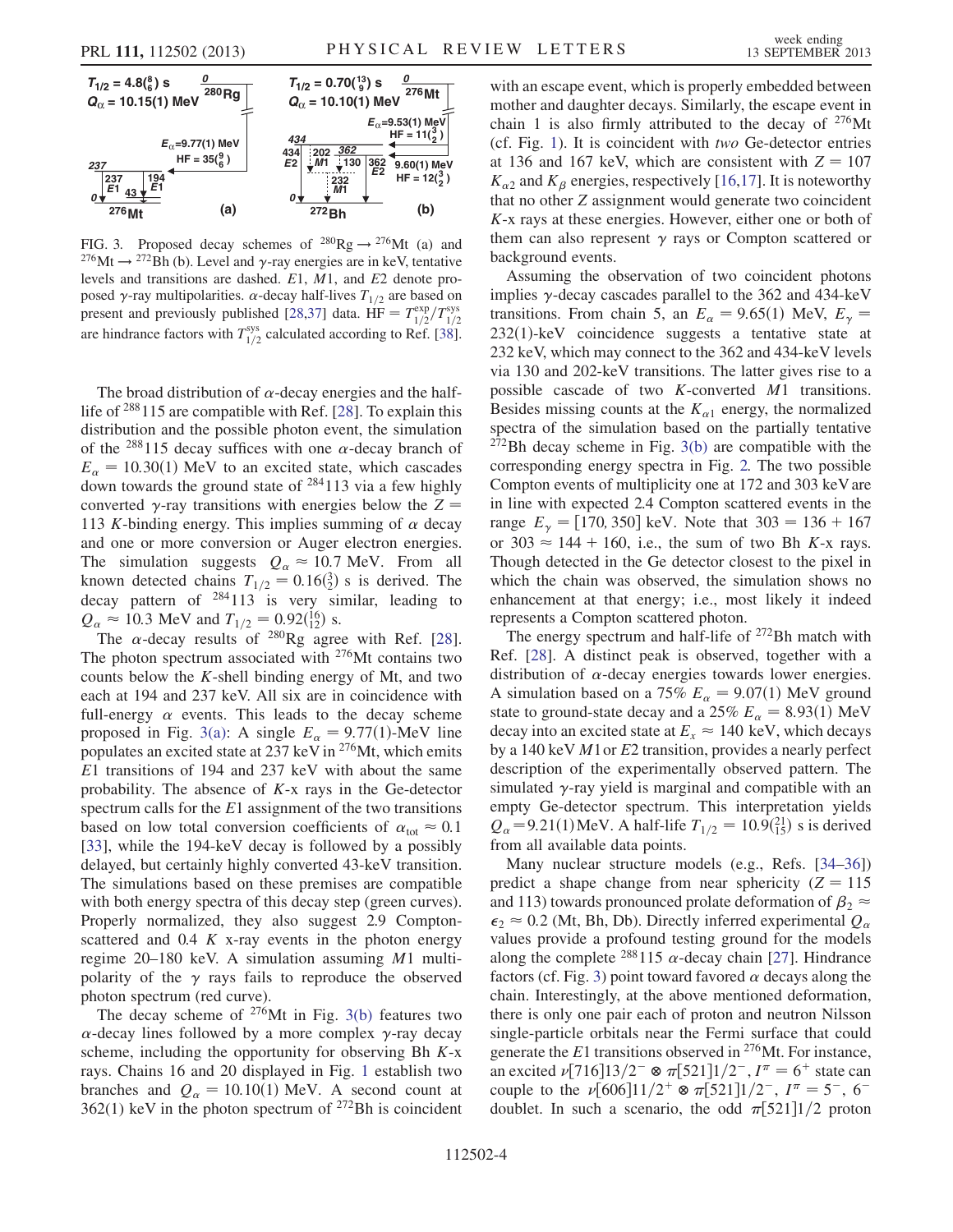<span id="page-3-0"></span>

<span id="page-3-1"></span>FIG. 3. Proposed decay schemes of  $^{280}$ Rg  $\rightarrow$   $^{276}$ Mt (a) and <sup>276</sup>Mt  $\rightarrow$  <sup>272</sup>Bh (b). Level and  $\gamma$ -ray energies are in keV, tentative<br>levels and transitions are dashed F1 M1 and F2 denote prolevels and transitions are dashed. <sup>E</sup>1, <sup>M</sup>1, and <sup>E</sup>2 denote proposed  $\gamma$ -ray multipolarities.  $\alpha$ -decay half-lives  $T_{1/2}$  are based on<br>present and previously published 128.271 data. HE =  $T^{exp}/T^{sys}$ present and previously published [[28](#page-4-22),[37\]](#page-4-32) data.  $HF = T_{1/2}^{\text{exp}}/T_{1/2}^{\text{sys}}$ Figure 1.12 T  $1/2$   $1/2$   $1/2$ <br>are hindrance factors with  $T_{1/2}^{sys}$  calculated according to Ref. [\[38\]](#page-4-33).

The broad distribution of  $\alpha$ -decay energies and the halflife of 288115 are compatible with Ref. [[28](#page-4-22)]. To explain this distribution and the possible photon event, the simulation of the <sup>288</sup>115 decay suffices with one  $\alpha$ -decay branch of  $E_{\alpha}$  = 10.30(1) MeV to an excited state, which cascades down towards the ground state of  $284113$  via a few highly converted  $\gamma$ -ray transitions with energies below the Z = 113 K-binding energy. This implies summing of  $\alpha$  decay and one or more conversion or Auger electron energies. The simulation suggests  $Q_{\alpha} \approx 10.7$  MeV. From all known detected chains  $T_{1/2} = 0.16\binom{3}{2}$  s is derived. The decay pattern of  $284113$  is very similar leading to decay pattern of <sup>284</sup>113 is very similar, leading to  $Q \approx 10.3$  MeV and  $T_{\text{A}} = 0.92(16)$  s  $Q_{\alpha} \approx 10.3$  MeV and  $T_{1/2} = 0.92\binom{16}{12}$  s.<br>The  $\alpha$ -decay results of <sup>280</sup>Rg agree

The  $\alpha$ -decay results of <sup>280</sup>Rg agree with Ref. [\[28\]](#page-4-22). The photon spectrum associated with  $276$ Mt contains two counts below the K-shell binding energy of Mt, and two each at 194 and 237 keV. All six are in coincidence with full-energy  $\alpha$  events. This leads to the decay scheme proposed in Fig. [3\(a\)](#page-3-1): A single  $E_{\alpha} = 9.77(1)$ -MeV line populates an excited state at 237 keV in 276Mt, which emits <sup>E</sup>1 transitions of 194 and 237 keV with about the same probability. The absence of <sup>K</sup>-x rays in the Ge-detector spectrum calls for the  $E1$  assignment of the two transitions based on low total conversion coefficients of  $\alpha_{\text{tot}} \approx 0.1$ [\[33\]](#page-4-27), while the 194-keV decay is followed by a possibly delayed, but certainly highly converted 43-keV transition. The simulations based on these premises are compatible with both energy spectra of this decay step (green curves). Properly normalized, they also suggest 2.9 Comptonscattered and  $0.4 K$  x-ray events in the photon energy regime 20–180 keV. A simulation assuming <sup>M</sup>1 multipolarity of the  $\gamma$  rays fails to reproduce the observed photon spectrum (red curve).

The decay scheme of  $276$ Mt in Fig. [3\(b\)](#page-3-1) features two  $\alpha$ -decay lines followed by a more complex  $\gamma$ -ray decay scheme, including the opportunity for observing Bh  $K$ -x rays. Chains 16 and 20 displayed in Fig. [1](#page-1-0) establish two branches and  $Q_{\alpha} = 10.10(1)$  MeV. A second count at  $362(1)$  keV in the photon spectrum of <sup>272</sup>Bh is coincident with an escape event, which is properly embedded between mother and daughter decays. Similarly, the escape event in chain 1 is also firmly attributed to the decay of  $276$ Mt (cf. Fig. [1\)](#page-1-0). It is coincident with two Ge-detector entries at 136 and 167 keV, which are consistent with  $Z = 107$  $K_{\alpha 2}$  and  $K_{\beta}$  energies, respectively [[16](#page-4-28),[17](#page-4-29)]. It is noteworthy that no other Z assignment would generate two coincident K-x rays at these energies. However, either one or both of them can also represent  $\gamma$  rays or Compton scattered or background events.

Assuming the observation of two coincident photons implies  $\gamma$ -decay cascades parallel to the 362 and 434-keV transitions. From chain 5, an  $E_{\alpha} = 9.65(1)$  MeV,  $E_{\gamma} = 232(1)$  keV, coincidence, suggests, a tentative state at  $232(1)$ -keV coincidence suggests a tentative state at 232 keV, which may connect to the 362 and 434-keV levels via 130 and 202-keV transitions. The latter gives rise to a possible cascade of two <sup>K</sup>-converted <sup>M</sup>1 transitions. Besides missing counts at the  $K_{\alpha 1}$  energy, the normalized spectra of the simulation based on the partially tentative 272Bh decay scheme in Fig. [3\(b\)](#page-3-1) are compatible with the corresponding energy spectra in Fig. [2.](#page-2-0) The two possible Compton events of multiplicity one at 172 and 303 keV are in line with expected 2.4 Compton scattered events in the range  $E_{\gamma} = [170, 350] \text{ keV}$ . Note that  $303 = 136 + 167$ <br>or  $303 \approx 144 + 160$  i.e. the sum of two Bh K-x rays or  $303 \approx 144 + 160$ , i.e., the sum of two Bh K-x rays. Though detected in the Ge detector closest to the pixel in which the chain was observed, the simulation shows no enhancement at that energy; i.e., most likely it indeed represents a Compton scattered photon.

The energy spectrum and half-life of <sup>272</sup>Bh match with Ref. [\[28\]](#page-4-22). A distinct peak is observed, together with a distribution of  $\alpha$ -decay energies towards lower energies. A simulation based on a 75%  $E_{\alpha} = 9.07(1)$  MeV ground state to ground-state decay and a 25%  $E_{\alpha} = 8.93(1)$  MeV decay into an excited state at  $E_x \approx 140 \text{ keV}$ , which decays by a 140 keV <sup>M</sup>1or <sup>E</sup>2 transition, provides a nearly perfect description of the experimentally observed pattern. The simulated  $\gamma$ -ray yield is marginal and compatible with an empty Ge-detector spectrum. This interpretation yields  $Q_{\alpha}$  = 9.21(1) MeV. A half-life  $T_{1/2} = 10.9\binom{21}{15}$  s is derived from all available data points from all available data points.

Many nuclear structure models (e.g., Refs. [[34](#page-4-30)–[36](#page-4-31)]) predict a shape change from near sphericity  $(Z = 115$ and 113) towards pronounced prolate deformation of  $\beta_2 \approx$  $\epsilon_2 \approx 0.2$  (Mt, Bh, Db). Directly inferred experimental  $Q_\alpha$ values provide a profound testing ground for the models along the complete <sup>288</sup>115  $\alpha$ -decay chain [[27](#page-4-21)]. Hindrance factors (cf. Fig. [3](#page-3-0)) point toward favored  $\alpha$  decays along the chain. Interestingly, at the above mentioned deformation, there is only one pair each of proton and neutron Nilsson single-particle orbitals near the Fermi surface that could generate the  $E1$  transitions observed in <sup>276</sup>Mt. For instance, an excited  $\nu$ [716]13/2<sup>-</sup>  $\otimes \pi$ [521]1/2<sup>-</sup>,  $I^{\pi} = 6^+$  state can couple to the  $\nu[606]11/2^+ \otimes \pi[521]1/2^-, I^{\pi} = 5^-, 6^$ doublet. In such a scenario, the odd  $\pi$ [521]1/2 proton